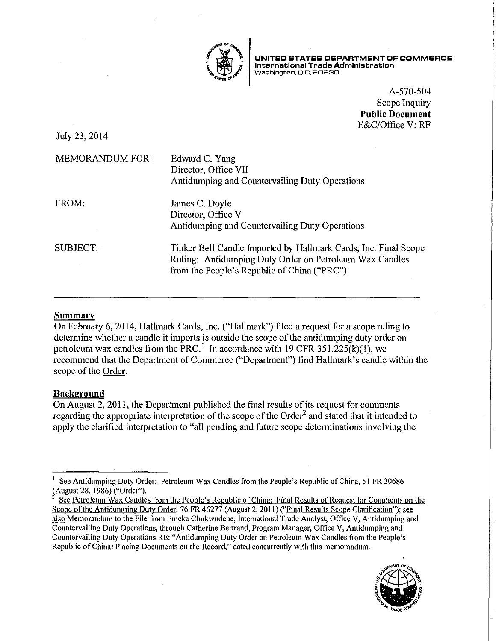

**UNITED STATES DEPARTMENT OF COMMERCE International Trade Administration Washington, O.C. 20230** 

> A-570-504 Scope Inquiry **Public Document**  E&C/Office V: RF

July 23,2014

| <b>MEMORANDUM FOR:</b> | Edward C. Yang<br>Director, Office VII<br>Antidumping and Countervailing Duty Operations                                                                                  |
|------------------------|---------------------------------------------------------------------------------------------------------------------------------------------------------------------------|
| FROM:                  | James C. Doyle<br>Director, Office V<br>Antidumping and Countervailing Duty Operations                                                                                    |
| SUBJECT:               | Tinker Bell Candle Imported by Hallmark Cards, Inc. Final Scope<br>Ruling: Antidumping Duty Order on Petroleum Wax Candles<br>from the People's Republic of China ("PRC") |

## **Summary**

On February 6, 2014, Hallmark Cards, Inc. ("Hallmark") filed a request for a scope ruling to determine whether a candle it imports is outside the scope of the antidumping duty order on petroleum wax candles from the PRC.<sup>1</sup> In accordance with 19 CFR 351.225(k)(1), we recommend that the Depariment of Commerce ("Depatiment") find Hallmark's candle within the scope of the Order.

# **Background**

On August 2, 2011, the Department published the final results of its request for comments regarding the appropriate interpretation of the scope of the Order<sup>2</sup> and stated that it intended to apply the clarified interpretation to "all pending and future scope determinations involving the

<sup>2</sup> See Petroleum Wax Candles from the People's Republic of China: Final Results of Request for Comments on the Scope of the Antidumping Duty Order, 76 FR 46277 (August 2, 2011) ("Final Results Scope Clarification"); see also Memorandum to the File from Emeka Chukwudebe, International Trade Analyst, Office V, Antidumping and Countervailing Duty Operations, through Catherine Bertrand, Program Manager, Office V, Antidumping and Countervailing Duty Operations RE: "Antidumping Duty Order on Petroleum Wax Candles from the People's Republic of China: Placing Documents on the Record," dated concurrently with this memorandum.



<sup>1</sup>See Antidumping Duty Order: Petroleum Wax Candles from the People's Republic of China, 51 FR 30686 (August 28, 1986) ("Order").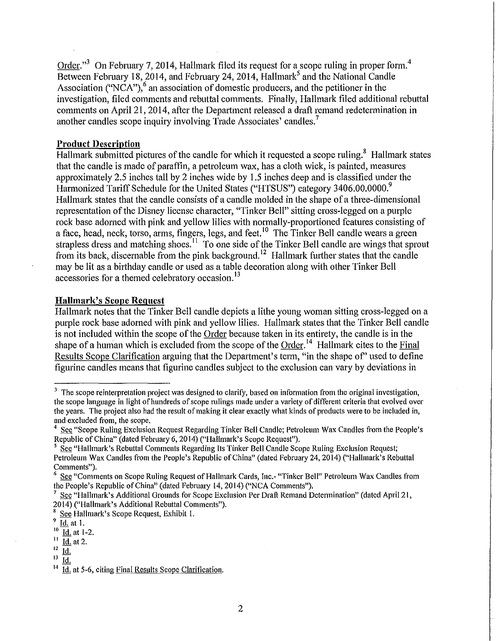Order."<sup>3</sup> On February 7, 2014, Hallmark filed its request for a scope ruling in proper form.<sup>4</sup> Between February 18, 2014, and February 24, 2014, Hallmark<sup>5</sup> and the National Candle Association ("NCA"),<sup>6</sup> an association of domestic producers, and the petitioner in the investigation, filed comments and rebuttal comments. Finally, Hallmark filed additional rebuttal comments on April 21, 2014, after the Department released a draft remand redetermination in another candles scope inquiry involving Trade Associates' candles.<sup>7</sup>

# **Product Description**

Hallmark submitted pictures of the candle for which it requested a scope ruling.<sup>8</sup> Hallmark states that the candle is made of paraffin, a petroleum wax, has a cloth wick, is painted, measures approximately 2.5 inches tall by 2 inches wide by 1.5 inches deep and is classified under the Harmonized Tariff Schedule for the United States ("HTSUS") category 3406.00.0000.<sup>9</sup> Hallmark states that the candle consists of a candle molded in the shape of a three-dimensional representation of the Disney license character, "Tinker Bell" sitting cross-legged on a purple rock base adorned with pink and yellow lilies with normally-proportioned features consisting of a face, head, neck, torso, arms, fingers, legs, and feet.<sup>10</sup> The Tinker Bell candle wears a green strapless dress and matching shoes.<sup>11</sup> To one side of the Tinker Bell candle are wings that sprout from its back, discernable from the pink background.<sup>12</sup> Hallmark further states that the candle may be lit as a birthday candle or used as a table decoration along with other Tinker Bell accessories for a themed celebratory occasion.<sup>13</sup>

### **Hallmark's Scope Request**

Hallmark notes that the Tinker Bell candle depicts a lithe young woman sitting cross-legged on a purple rock base adorned with pink and yellow lilies. Hallmark states that the Tinker Bell candle is not included within the scope of the Order because taken in its entirety, the candle is in the shape of a human which is excluded from the scope of the Order.<sup>14</sup> Hallmark cites to the Final Results Scope Clarification arguing that the Department's term, "in the shape of" used to define figurine candles means that figurine candles subject to the exclusion can vary by deviations in

 $3\text{ }$  The scope reinterpretation project was designed to clarify, based on information from the original investigation, the scope language in light of hundreds of scope rulings made under a variety of different criteria that evolved over the years. The project also had the result of making it clear exactly what kinds of products were to be included in, and excluded from, the scope.

<sup>4</sup> See "Scope Ruling Exclusion Request Regarding Tinker Bell Candle; Petroleum Wax Candles from the People's Republic of China" (dated February 6, 2014) ("Hallmark's Scope Request").<br><sup>5</sup> See "Hallmark's Rebuttal Comments Regarding Its Tinker Bell Candle Scope Ruling Exclusion Request;

Petroleum Wax Candles from the People's Republic of China" (dated February 24, 2014) ("Hallmark's Rebuttal **Comments").** 

 $6$  See "Comments on Scope Ruling Request of Hallmark Cards, Inc.- "Tinker Bell" Petroleum Wax Candles from the People's Republic of China" (dated February 14, 2014) ("NCA Comments").

See "Hallmark's Additional Grounds for Scope Exclusion Per Draft Remand Determination" (dated April 21, 20 14) ("Hallmark's Additional Rebuttal Comments").

<sup>8</sup> See Hallmark's Scope Request, Exhibit I.

 $\frac{9}{10}$  <u>Id.</u> at 1.

 $\frac{10}{11}$  <u>Id.</u> at 1-2.

 $\frac{11}{12}$   $\frac{Id.}{Id}$  at 2.

 $\frac{12}{13}$   $\frac{Id}{14}$ 

<sup>&</sup>lt;sup>13</sup> 1d.<br><sup>14</sup> 1d. at 5-6, citing Final Results Scope Clarification.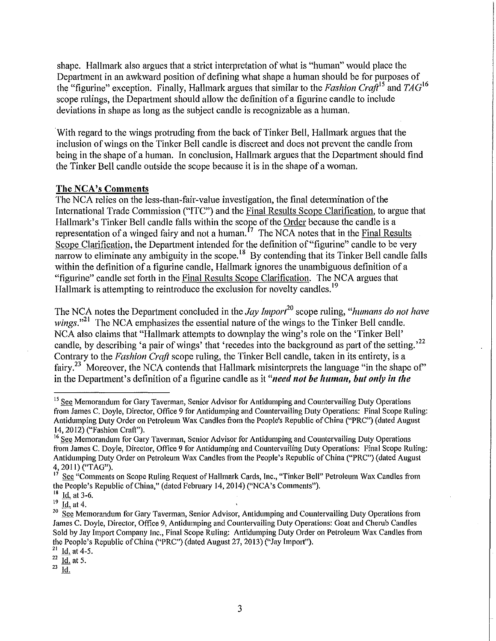shape. Hallmark also argues that a strict interpretation of what is "human" would place the Department in an awkward position of defining what shape a human should be for purposes of the "figurine" exception. Finally, Hallmark argues that similar to the *Fashion Craft*<sup>15</sup> and *TAG*<sup>16</sup> scope rulings, the Department should allow the definition of a figurine candle to include deviations in shape as long as the subject candle is recognizable as a human.

With regard to the wings protruding from the back of Tinker Bell, Hallmark argues that the inclusion of wings on the Tinker Bell candle is discreet and does not prevent the candle from being in the shape of a human. In conclusion, Hallmark argues that the Department should find the Tinker Bell candle outside the scope because it is in the shape of a woman.

#### The NCA's Comments

The NCA relies on the less-than-fair-value investigation, the final determination of the International Trade Commission ("ITC") and the Final Results Scope Clarification, to argue that Hallmark's Tinker Bell candle falls within the scope of the <u>Order</u> because the candle is a representation of a winged fairy and not a human.<sup>17</sup> The NCA notes that in the Final Results Scope Clarification, the Department intended for the definition of "figurine" candle to be very narrow to eliminate any ambiguity in the scope.<sup>18</sup> By contending that its Tinker Bell candle falls within the definition of a figurine candle, Hallmark ignores the unambiguous definition of a "figurine" candle set f01th in the Final Results Scope Clarification. The NCA argues that Hallmark is attempting to reintroduce the exclusion for novelty candles.<sup>19</sup>

The NCA notes the Department concluded in the *Jay lmport<sup>20</sup>* scope ruling, *"humans do not have wings.*"<sup>21</sup> The NCA emphasizes the essential nature of the wings to the Tinker Bell candle. NCA also claims that "Hallmark attempts to downplay the wing's role on the 'Tinker Bell' candle, by describing 'a pair of wings' that 'recedes into the background as part of the setting.'<sup>22</sup> Contrary to the *Fashion Craft* scope ruling, the Tinker Bell candle, taken in its entirety, is a fairy.<sup>23</sup> Moreover, the NCA contends that Hallmark misinterprets the language "in the shape of" in the Department's definition of a figurine candle as it *"need not be human, but only in the* 

<sup>&</sup>lt;sup>15</sup> See Memorandum for Gary Taverman, Senior Advisor for Antidumping and Countervailing Duty Operations from James C. Doyle, Director, Office 9 for Antidumping and Countervailing Duty Operations: Final Scope Ruling: Antidumping Duty Order on Petroleum Wax Candles from the People's Republic of China ("PRC") (dated August 14, 2012) ("Fashion Craft").

<sup>&</sup>lt;sup>16</sup> See Memorandum for Gary Taverman, Senior Advisor for Antidumping and Countervailing Duty Operations from James C. Doyle, Director, Office 9 for Antidumping and Countervailing Duty Operations: Final Scope Ruling: Antidumping Duty Order on Petroleum Wax Candles from the People's Republic of China ("PRC") (dated August  $^{4}$ , 2011) ("TAG").

<sup>17</sup> See "Comments on Scope Ruling Request of Hallmark Cards, Inc., "Tinker Bell" Petroleum Wax Candles fi·om the People's Republic of China," (dated February 14, 2014) ("NCA's Comments").

 $18$  Id. at 3-6.

 $^{19}$   $\frac{100}{10}$  at 4.

<sup>&</sup>lt;sup>20</sup> See Memorandum for Gary Taverman, Senior Advisor, Antidumping and Countervailing Duty Operations from James C. Doyle, Director, Office 9, Antidumping and Countervailing Duty Operations: Goat and Cherub Candles Sold by Jay Import Company Inc., Final Scope Ruling: Antidumping Duty Order on Petroleum Wax Candles from the People's Republic of China ("PRC") (dated August 27, 2013) ("Jay Import").<br><sup>21</sup> Id. at 4-5.

 $rac{22}{23}$   $\frac{\overline{Id}}{1d}$  at 5.

Id.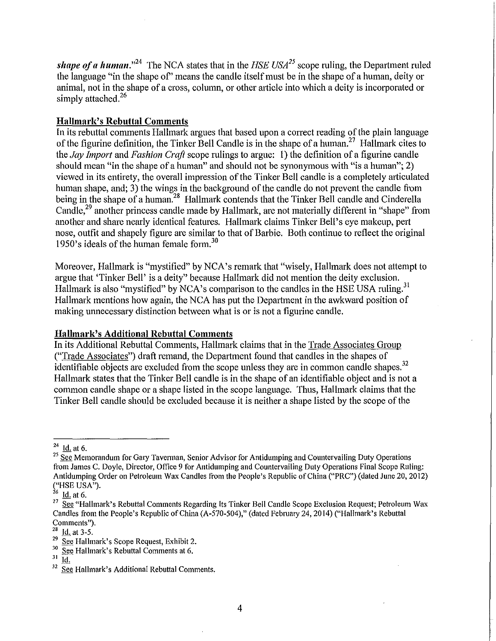**shape of a human.**"<sup>24</sup> The NCA states that in the  $HSE USA^{25}$  scope ruling, the Department ruled the language "in the shape of' means the candle itself must be in the shape of a human, deity or animal, not in the shape of a cross, column, or other article into which a deity is incorporated or simply attached.<sup>26</sup>

## **Hallmark's Rebuttal Comments**

In its rebuttal comments Hallmark argues that based upon a correct reading of the plain language of the figurine definition, the Tinker Bell Candle is in the shape of a human.<sup>27</sup> Hallmark cites to the *Jay Import* and *Fashion Craft* scope rulings to argue: 1) the definition of a figurine candle should mean "in the shape of a human" and should not be synonymous with "is a human"; 2) viewed in its entirety, the overall impression of the Tinker Bell candle is a completely articulated human shape, and; 3) the wings in the background of the candle do not prevent the candle from being in the shape of a human.<sup>28</sup> Hallmark contends that the Tinker Bell candle and Cinderella Candle,<sup>29</sup> another princess candle made by Hallmark, are not materially different in "shape" from another and share nearly identical features. Hallmark claims Tinker Bell's eye makeup, pert nose, outfit and shapely figure are similar to that of Barbie. Both continue to reflect the original 1950's ideals of the human female form.<sup>30</sup>

Moreover, Hallmark is "mystified" by NCA's remark that "wisely, Hallmark does not attempt to argue that 'Tinker Bell' is a deity" because Hallmark did not mention the deity exclusion. Hallmark is also "mystified" by NCA's comparison to the candles in the HSE USA ruling.<sup>31</sup> Hallmark mentions how again, the NCA has put the Department in the awkward position of making unnecessary distinction between what is or is not a figurine candle.

# **Hallmark's Additional Rebuttal Comments**

In its Additional Rebuttal Comments, Hallmark claims that in the Trade Associates Group ("Trade Associates") draft remand, the Department found that candles in the shapes of identifiable objects are excluded from the scope unless they are in common candle shapes.<sup>32</sup> Hallmark states that the Tinker Bell candle is in the shape of an identifiable object and is not a common candle shape or a shape listed in the scope language. Thus, Hallmark claims that the Tinker Bell candle should be excluded because it is neither a shape listed by the scope of the

 $\frac{24}{25}$  ld. at 6.<br><sup>25</sup> See Memorandum for Gary Taverman, Senior Advisor for Antidumping and Countervailing Duty Operations from James C. Doyle, Director, Office 9 for Antidumping and Countervailing Duty Operations Final Scope Ruling: Antidumping Order on Petroleum Wax Candles from the People's Republic of China ("PRC") (dated June 20, 2012)  $\left(\begin{array}{cc} \text{``HSE USA''}\end{array}\right).$ 

Id. at 6.

<sup>&</sup>lt;sup>27</sup> See "Hallmark's Rebuttal Comments Regarding Its Tinker Bell Candle Scope Exclusion Request; Petroleum Wax Candles from the People's Republic of China (A-570-504)," (dated February 24, 2014) ("Hallmark's Rebuttal **Comments'').** 

 $\frac{28}{29}$  Id. at 3-5.<br><sup>29</sup> See Hallmark's Scope Request, Exhibit 2.

 $\frac{30}{20}$  See Hallmark's Rebuttal Comments at 6.

 $rac{31}{32}$   $\frac{Id}{S_{\alpha\beta}}$ 

See Hallmark's Additional Rebuttal Comments.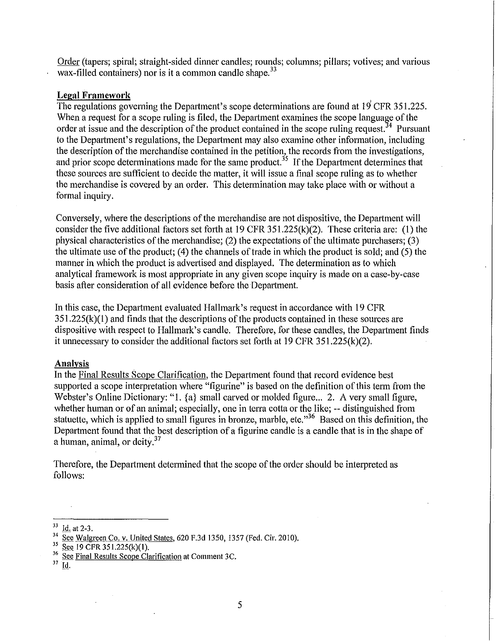Order (tapers; spiral; straight-sided dinner candles; rounds; columns; pillars; votives; and various wax-filled containers) nor is it a common candle shape.<sup>33</sup>

### **Legal Framework**

The regulations governing the Department's scope determinations are found at 19 CFR 351.225. When a request for a scope ruling is filed, the Department examines the scope language of the order at issue and the description of the product contained in the scope ruling request.<sup>34</sup> Pursuant to the Department's regulations, the Department may also examine other information, including the description of the merchandise contained in the petition, the records from the investigations, and prior scope determinations made for the same product.<sup>35</sup> If the Department determines that these sources are sufficient to decide the matter, it will issue a final scope ruling as to whether the merchandise is covered by an order. This determination may take place with or without a formal inquiry.

Conversely, where the descriptions of the merchandise are not dispositive, the Department will consider the five additional factors set forth at 19 CFR  $351.225(k)(2)$ . These criteria are: (1) the physical characteristics of the merchandise; (2) the expectations of the ultimate purchasers; (3) the ultimate use of the product; (4) the channels of trade in which the product is sold; and (5) the manner in which the product is advertised and displayed. The determination as to which analytical framework is most appropriate in any given scope inquiry is made on a case-by-case basis after consideration of all evidence before the Depatiment.

In this case, the Department evaluated Hallmark's request in accordance with 19 CFR  $351.225(k)(1)$  and finds that the descriptions of the products contained in these sources are dispositive with respect to Hallmark's candle. Therefore, for these candles, the Department finds it unnecessary to consider the additional factors set forth at 19 CFR 351.225(k)(2).

### **Analysis**

In the Final Results Scope Clarification, the Department found that record evidence best supported a scope interpretation where "figurine" is based on the definition of this term from the Webster's Online Dictionary: "1. {a} small carved or molded figure... 2. A very small figure, whether human or of an animal; especially, one in terra cotta or the like; -- distinguished from statuette, which is applied to small figures in bronze, marble, etc."<sup>36</sup> Based on this definition, the Department found that the best description of a figurine candle is a candle that is in the shape of a human, animal, or deity.<sup>37</sup>

Therefore, the Department determined that the scope of the order should be interpreted as follows:

37 Id.

 $\frac{33}{14}$  <u>Id.</u> at 2-3.<br><sup>34</sup> <u>See Walgreen Co. v. United States</u>, 620 F.3d 1350, 1357 (Fed. Cir. 2010).<br><sup>35</sup> See 19 CFR 351.225(k)(1).<br><sup>36</sup> See Final Besults Scope Clerification at Comment 3C

 $\frac{36}{37}$  See Final Results Scope Clarification at Comment 3C.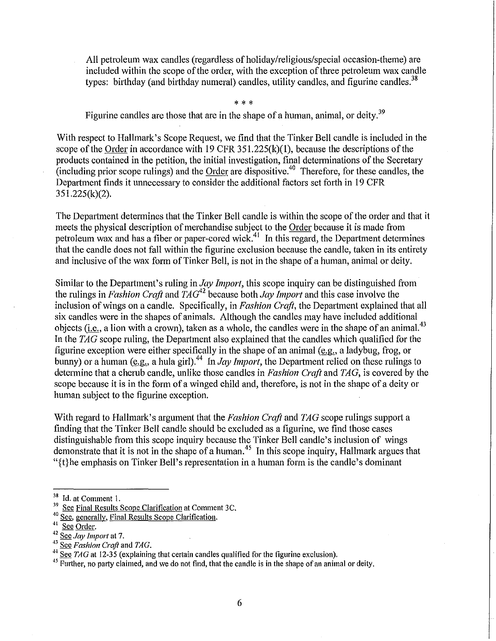All petroleum wax candles (regardless of holiday/religious/special occasion-theme) are included within the scope of the order, with the exception of three petroleum wax candle types: birthday (and birthday numeral) candles, utility candles, and figurine candles.<sup>38</sup>

\* \* \* Figurine candles are those that are in the shape of a human, animal, or deity.<sup>39</sup>

With respect to Hallmark's Scope Request, we find that the Tinker Bell candle is included in the scope of the Order in accordance with 19 CFR  $351.225(k)(1)$ , because the descriptions of the products contained in the petition, the initial investigation, final determinations of the Secretary (including prior scope rulings) and the Order are dispositive.<sup>40</sup> Therefore, for these candles, the Department finds it unnecessary to consider the additional factors set forth in 19 CFR 351.225(k)(2).

The Depatiment determines that the Tinker Bell candle is within the scope of the order and that it meets the physical description of merchandise subject to the Order because it is made from petroleum wax and has a fiber or paper-cored wick.<sup>41</sup> In this regard, the Department determines that the candle does not fall within the figurine exclusion because the candle, taken in its entirety and inclusive of the wax form of Tinker Bell, is not in the shape of a human, animal or deity.

Similar to the Department's ruling in *Jay Import,* this scope inquiry can be distinguished from the rulings in *Fashion Craft* and *TAG<sup>42</sup>*because both *Jay Import* and this case involve the inclusion of wings on a candle. Specifically, in *Fashion Craft,* the Department explained that all six candles were in the shapes of animals. Although the candles may have included additional objects (*i.e.*, a lion with a crown), taken as a whole, the candles were in the shape of an animal.<sup>43</sup> In the *TAG* scope ruling, the Department also explained that the candles which qualified for the figurine exception were either specifically in the shape of an animal (e.g., a ladybug, frog, or bunny) or a human (e.g., a hula girl).<sup>44</sup> In *Jay Import*, the Department relied on these rulings to determine that a cherub candle, unlike those candles in *Fashion Craft* and *TAG*, is covered by the scope because it is in the form of a winged child and, therefore, is not in the shape of a deity or human subject to the figurine exception.

With regard to Hallmark's argument that the *Fashion Craft* and *TAG* scope rulings suppoti a finding that the Tinker Bell candle should be excluded as a figurine, we find those cases distinguishable from this scope inquiry because the Tinker Bell candle's inclusion of wings demonstrate that it is not in the shape of a human.<sup>45</sup> In this scope inquiry, Hallmark argues that "{t}he emphasis on Tinker Bell's representation in a human form is the candle's dominant

<sup>&</sup>lt;sup>38</sup> Id. at Comment 1.<br><sup>39</sup> See Final Results Scope Clarification at Comment 3C.

<sup>&</sup>lt;sup>40</sup> See, generally, Final Results Scope Clarification.

 $41 \overline{\text{See Order}}$ .

<sup>42</sup> See *Jay Import* at 7.<br><sup>43</sup> See *Fashion Craft* and *TAG*.

<sup>43</sup> See *Fashion Craft* and *TAG.* 44 See *TAG* at 12-35 (explaining that certain candles qualified for the figurine exclusion).

<sup>&</sup>lt;sup>45</sup> Further, no party claimed, and we do not find, that the candle is in the shape of an animal or deity.